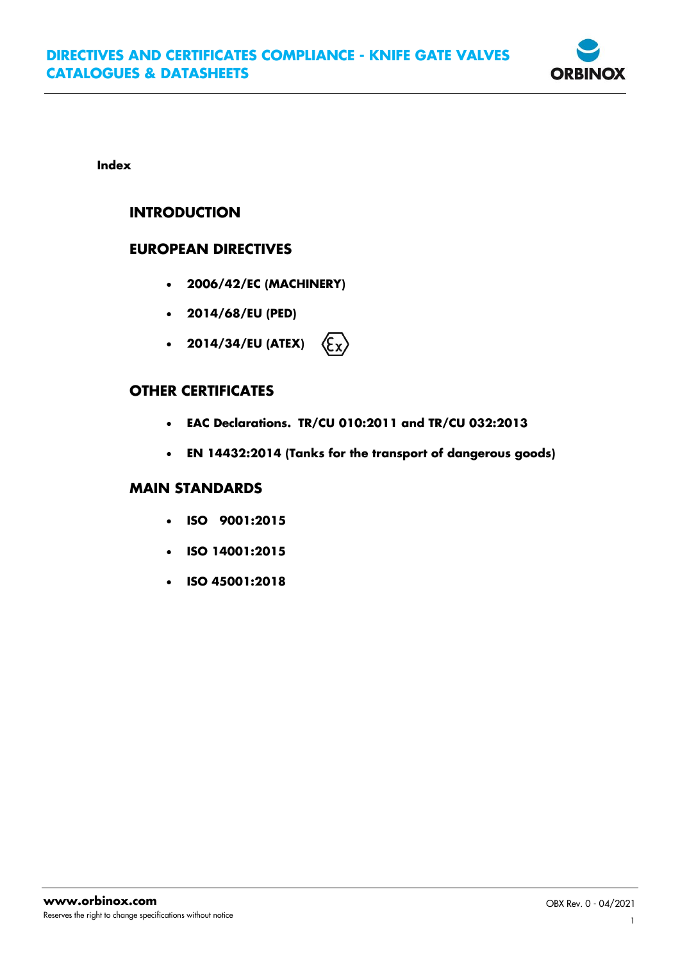

**Index**

# **INTRODUCTION**

## **EUROPEAN DIRECTIVES**

- **2006/42/EC (MACHINERY)**
- **2014/68/EU (PED)**
- **2014/34/EU (ATEX)**  $\langle \epsilon_{\mathbf{x}} \rangle$

# **OTHER CERTIFICATES**

- **EAC Declarations. TR/CU 010:2011 and TR/CU 032:2013**
- **EN 14432:2014 (Tanks for the transport of dangerous goods)**

### **MAIN STANDARDS**

- **ISO 9001:2015**
- **ISO 14001:2015**
- **ISO 45001:2018**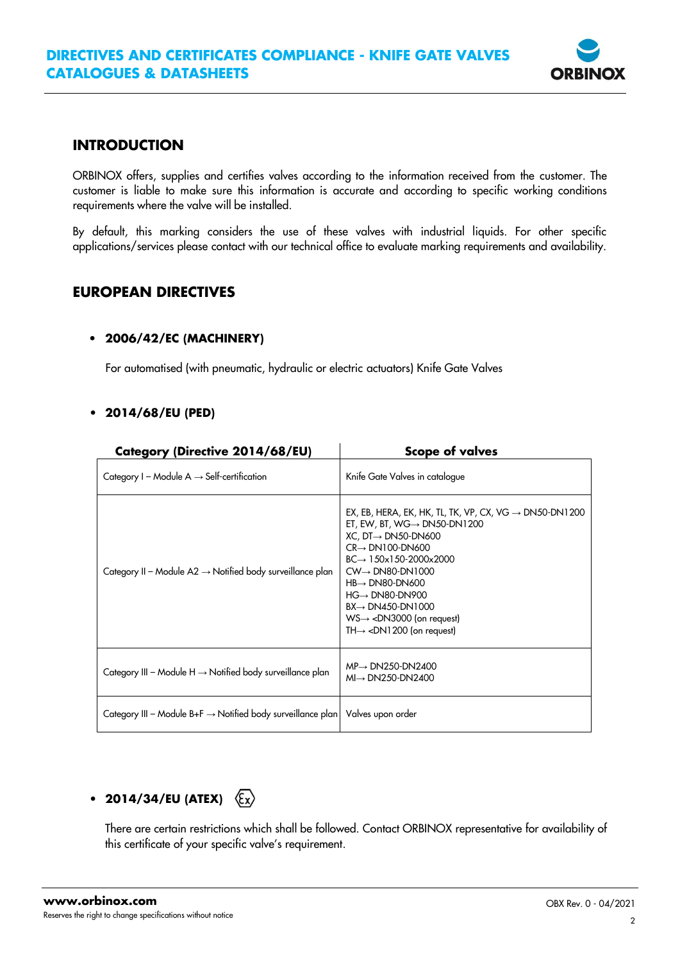

# **INTRODUCTION**

ORBINOX offers, supplies and certifies valves according to the information received from the customer. The customer is liable to make sure this information is accurate and according to specific working conditions requirements where the valve will be installed.

By default, this marking considers the use of these valves with industrial liquids. For other specific applications/services please contact with our technical office to evaluate marking requirements and availability.

# **EUROPEAN DIRECTIVES**

### • **2006/42/EC (MACHINERY)**

For automatised (with pneumatic, hydraulic or electric actuators) Knife Gate Valves

### **• 2014/68/EU (PED)**

| Category (Directive 2014/68/EU)                                         | <b>Scope of valves</b>                                                                                                                                                                                                                                                                                                                                                                                                                                                            |
|-------------------------------------------------------------------------|-----------------------------------------------------------------------------------------------------------------------------------------------------------------------------------------------------------------------------------------------------------------------------------------------------------------------------------------------------------------------------------------------------------------------------------------------------------------------------------|
| Category I – Module A $\rightarrow$ Self-certification                  | Knife Gate Valves in catalogue                                                                                                                                                                                                                                                                                                                                                                                                                                                    |
| Category II – Module A2 $\rightarrow$ Notified body surveillance plan   | EX, EB, HERA, EK, HK, TL, TK, VP, CX, VG $\rightarrow$ DN50-DN1200<br>ET, EW, BT, WG $\rightarrow$ DN50-DN1200<br>$XC$ , DT $\rightarrow$ DN50-DN600<br>$CR \rightarrow DN100 - DN600$<br>$BC \rightarrow 150x150-2000x2000$<br>$CW \rightarrow D N80 - DN1000$<br>$HB \rightarrow DNA00-DN600$<br>$HG \rightarrow DN80-DN900$<br>$BX \rightarrow DN450 - DN1000$<br>$WS \rightarrow \langle DN3000$ (on request)<br>TH $\rightarrow$ <dn1200 (on="" request)<="" td=""></dn1200> |
| Category III – Module H $\rightarrow$ Notified body surveillance plan   | $MP \rightarrow DN250 - DN2400$<br>$MI \rightarrow DN250 - DN2400$                                                                                                                                                                                                                                                                                                                                                                                                                |
| Category III – Module B+F $\rightarrow$ Notified body surveillance plan | Valves upon order                                                                                                                                                                                                                                                                                                                                                                                                                                                                 |

# **• 2014/34/EU (ATEX)**

There are certain restrictions which shall be followed. Contact ORBINOX representative for availability of this certificate of your specific valve's requirement.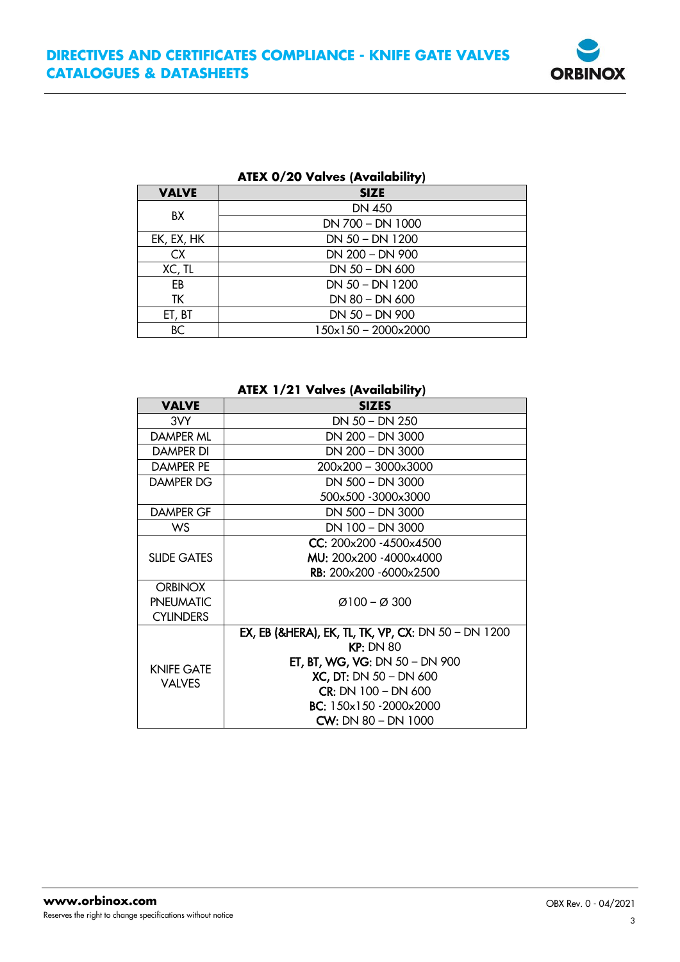

| AIEX 0/20 Valves (Availability) |                                     |  |  |  |
|---------------------------------|-------------------------------------|--|--|--|
| <b>VALVE</b>                    | <b>SIZE</b>                         |  |  |  |
| BX                              | DN 450                              |  |  |  |
|                                 | DN 700 - DN 1000                    |  |  |  |
| EK, EX, HK                      | DN 50 - DN 1200                     |  |  |  |
| CX.                             | DN 200 - DN 900                     |  |  |  |
| XC, TL                          | DN 50 - DN 600                      |  |  |  |
| EB                              | $DN 50 - DN 1200$                   |  |  |  |
| TΚ                              | DN 80 - DN 600                      |  |  |  |
| ET, BT                          | DN 50 - DN 900                      |  |  |  |
| <b>BC</b>                       | $150 \times 150 - 2000 \times 2000$ |  |  |  |
|                                 |                                     |  |  |  |

# **ATEX 0/20 Valves (Availability)**

#### **ATEX 1/21 Valves (Availability)**

| <b>VALVE</b>                       | <b>SIZES</b>                                                   |  |  |  |  |
|------------------------------------|----------------------------------------------------------------|--|--|--|--|
| 3VY                                | $DN 50 - DN 250$                                               |  |  |  |  |
| DAMPER ML                          | DN 200 - DN 3000                                               |  |  |  |  |
| DAMPER DI                          | DN 200 - DN 3000                                               |  |  |  |  |
| <b>DAMPER PE</b>                   | 200x200 - 3000x3000                                            |  |  |  |  |
| DAMPER DG                          | DN 500 - DN 3000                                               |  |  |  |  |
|                                    | 500x500 -3000x3000                                             |  |  |  |  |
| DAMPER GF                          | DN 500 - DN 3000                                               |  |  |  |  |
| WS                                 | DN 100 - DN 3000                                               |  |  |  |  |
| <b>SLIDE GATES</b>                 | CC: 200x200 -4500x4500                                         |  |  |  |  |
|                                    | MU: 200x200 -4000x4000                                         |  |  |  |  |
|                                    | <b>RB:</b> 200x200 -6000x2500                                  |  |  |  |  |
| <b>ORBINOX</b>                     |                                                                |  |  |  |  |
| <b>PNEUMATIC</b>                   | $Ø100 - Ø300$                                                  |  |  |  |  |
| <b>CYLINDERS</b>                   |                                                                |  |  |  |  |
| <b>KNIFE GATE</b><br><b>VALVES</b> | <b>EX, EB (&amp;HERA), EK, TL, TK, VP, CX: DN 50 - DN 1200</b> |  |  |  |  |
|                                    | KP: DN 80                                                      |  |  |  |  |
|                                    | <b>ET, BT, WG, VG: DN <math>50 - DN</math> 900</b>             |  |  |  |  |
|                                    | $XC$ , DT: DN 50 – DN 600                                      |  |  |  |  |
|                                    | $CR: DN 100 - DN 600$                                          |  |  |  |  |
|                                    | BC: 150x150 - 2000x2000                                        |  |  |  |  |
|                                    | $CW: DN 80 - DN 1000$                                          |  |  |  |  |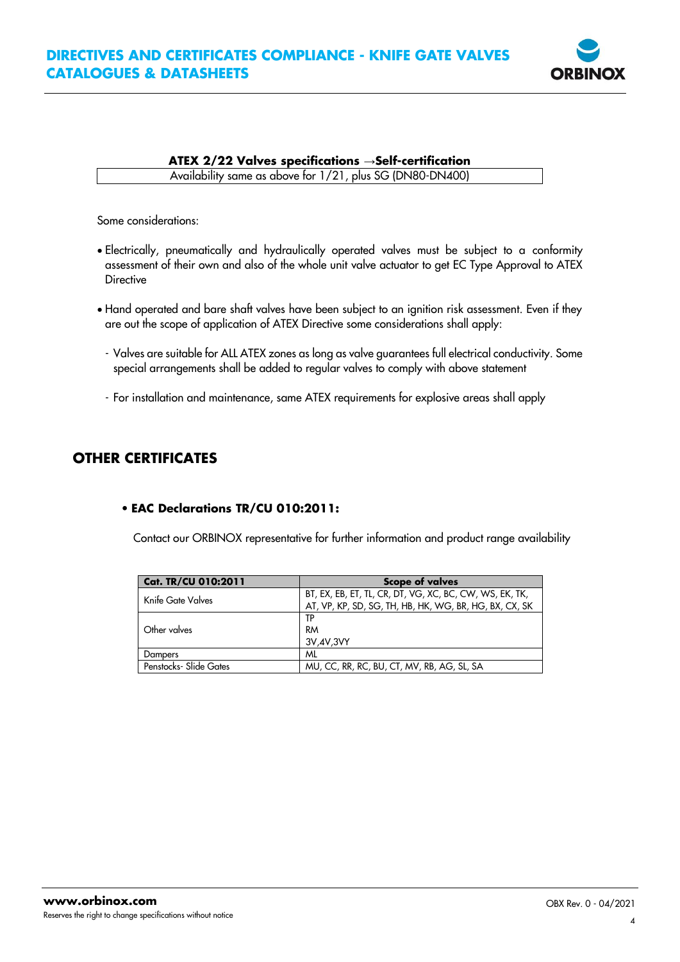# **DIRECTIVES AND CERTIFICATES COMPLIANCE - KNIFE GATE VALVES CATALOGUES & DATASHEETS**



#### **ATEX 2/22 Valves specifications** →**Self-certification**

Availability same as above for 1/21, plus SG (DN80-DN400)

Some considerations:

- Electrically, pneumatically and hydraulically operated valves must be subject to a conformity assessment of their own and also of the whole unit valve actuator to get EC Type Approval to ATEX **Directive**
- Hand operated and bare shaft valves have been subject to an ignition risk assessment. Even if they are out the scope of application of ATEX Directive some considerations shall apply:
- Valves are suitable for ALL ATEX zones as long as valve guarantees full electrical conductivity. Some special arrangements shall be added to regular valves to comply with above statement
- For installation and maintenance, same ATEX requirements for explosive areas shall apply

### **OTHER CERTIFICATES**

### • **EAC Declarations TR/CU 010:2011:**

Contact our ORBINOX representative for further information and product range availability

| Cat. TR/CU 010:2011    | <b>Scope of valves</b>                                                                                            |  |  |
|------------------------|-------------------------------------------------------------------------------------------------------------------|--|--|
| Knife Gate Valves      | BT, EX, EB, ET, TL, CR, DT, VG, XC, BC, CW, WS, EK, TK,<br>AT, VP, KP, SD, SG, TH, HB, HK, WG, BR, HG, BX, CX, SK |  |  |
| Other valves           | ТP<br>RM<br>3V,4V,3VY                                                                                             |  |  |
| Dampers                | ML                                                                                                                |  |  |
| Penstocks- Slide Gates | MU, CC, RR, RC, BU, CT, MV, RB, AG, SL, SA                                                                        |  |  |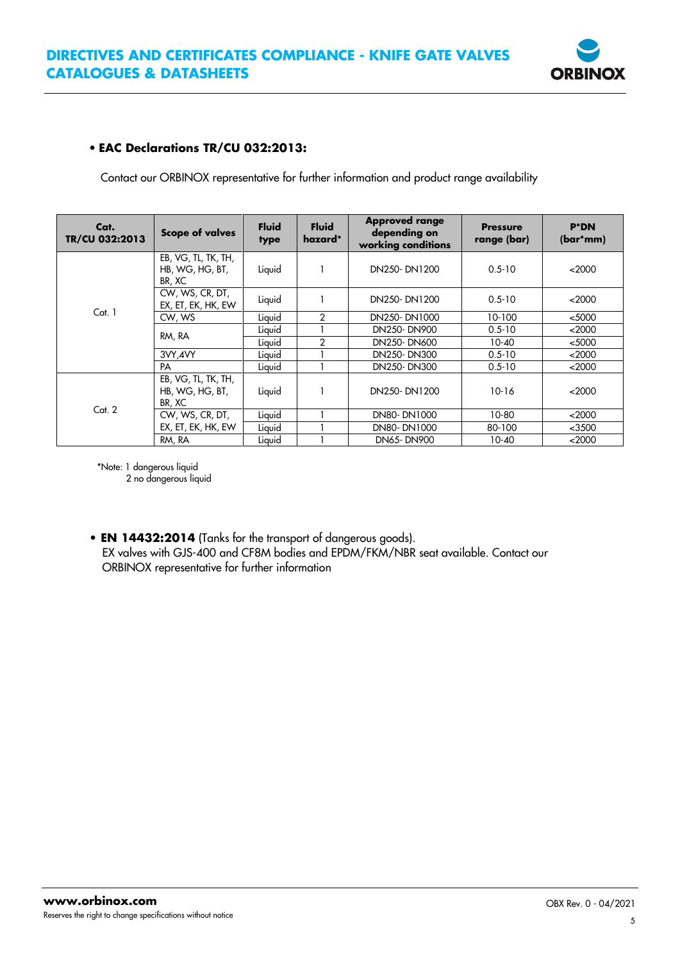

### • **EAC Declarations TR/CU 032:2013:**

Contact our ORBINOX representative for further information and product range availability

| Cat.<br>TR/CU 032:2013 | <b>Scope of valves</b>                           | <b>Fluid</b><br>type | <b>Fluid</b><br>hazard* | <b>Approved range</b><br>depending on<br>working conditions | <b>Pressure</b><br>range (bar) | <b>P*DN</b><br>$(bar^{*}mm)$ |
|------------------------|--------------------------------------------------|----------------------|-------------------------|-------------------------------------------------------------|--------------------------------|------------------------------|
| Cat. 1                 | EB, VG, TL, TK, TH,<br>HB, WG, HG, BT,<br>BR, XC | Liquid               |                         | DN250-DN1200                                                | $0.5 - 10$                     | <2000                        |
|                        | CW, WS, CR, DT,<br>EX, ET, EK, HK, EW            | Liquid               |                         | DN250-DN1200                                                | $0.5 - 10$                     | <2000                        |
|                        | CW, WS                                           | Liquid               | $\overline{2}$          | DN250-DN1000                                                | 10-100                         | $5000$                       |
|                        |                                                  | Liquid               |                         | DN250-DN900                                                 | $0.5 - 10$                     | $<$ 2000                     |
|                        | RM, RA                                           | Liquid               | $\overline{2}$          | DN250-DN600                                                 | 10-40                          | $5000$                       |
|                        | 3VY, 4VY                                         | Liquid               |                         | DN250-DN300                                                 | $0.5 - 10$                     | $<$ 2000                     |
|                        | PA                                               | Liquid               |                         | DN250-DN300                                                 | $0.5 - 10$                     | $<$ 2000                     |
| Cat. 2                 | EB, VG, TL, TK, TH,<br>HB, WG, HG, BT,<br>BR, XC | Liquid               |                         | DN250-DN1200                                                | $10 - 16$                      | <2000                        |
|                        | CW, WS, CR, DT,                                  | Liquid               |                         | DN80-DN1000                                                 | 10-80                          | <2000                        |
|                        | EX, ET, EK, HK, EW                               | Liquid               |                         | DN80-DN1000                                                 | 80-100                         | $<$ 3500                     |
|                        | RM, RA                                           | Liquid               |                         | DN65-DN900                                                  | $10-40$                        | $<$ 2000                     |

\*Note: 1 dangerous liquid 2 no dangerous liquid

**• EN 14432:2014** (Tanks for the transport of dangerous goods). EX valves with GJS-400 and CF8M bodies and EPDM/FKM/NBR seat available. Contact our ORBINOX representative for further information